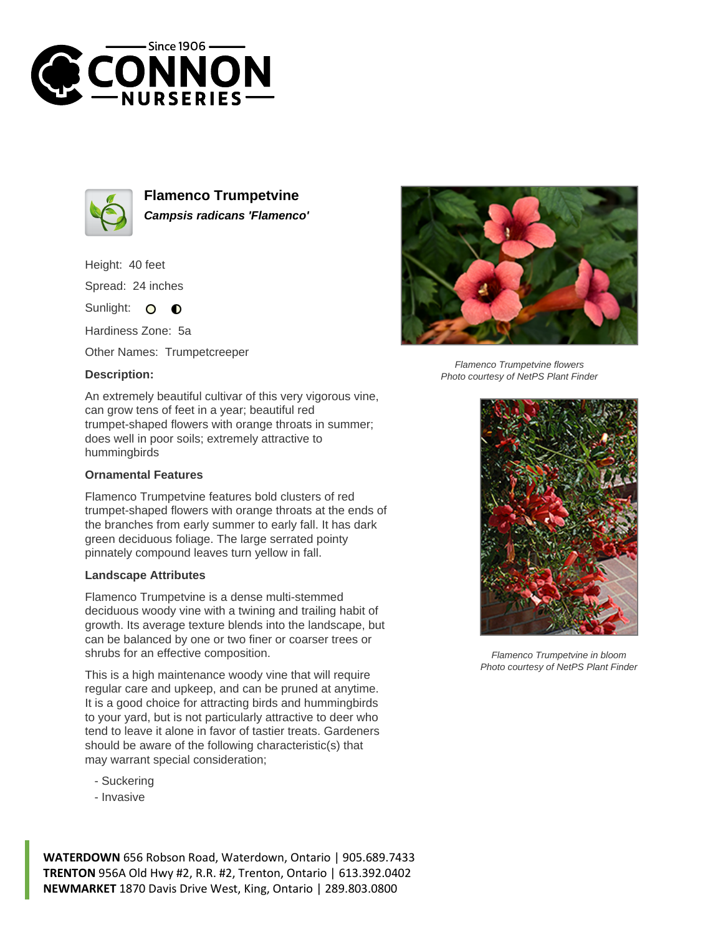



**Flamenco Trumpetvine Campsis radicans 'Flamenco'**

Height: 40 feet

Spread: 24 inches

Sunlight: O  $\bullet$ 

Hardiness Zone: 5a

Other Names: Trumpetcreeper

## **Description:**

An extremely beautiful cultivar of this very vigorous vine, can grow tens of feet in a year; beautiful red trumpet-shaped flowers with orange throats in summer; does well in poor soils; extremely attractive to hummingbirds

## **Ornamental Features**

Flamenco Trumpetvine features bold clusters of red trumpet-shaped flowers with orange throats at the ends of the branches from early summer to early fall. It has dark green deciduous foliage. The large serrated pointy pinnately compound leaves turn yellow in fall.

## **Landscape Attributes**

Flamenco Trumpetvine is a dense multi-stemmed deciduous woody vine with a twining and trailing habit of growth. Its average texture blends into the landscape, but can be balanced by one or two finer or coarser trees or shrubs for an effective composition.

This is a high maintenance woody vine that will require regular care and upkeep, and can be pruned at anytime. It is a good choice for attracting birds and hummingbirds to your yard, but is not particularly attractive to deer who tend to leave it alone in favor of tastier treats. Gardeners should be aware of the following characteristic(s) that may warrant special consideration;

- Suckering
- Invasive





Flamenco Trumpetvine in bloom Photo courtesy of NetPS Plant Finder

**WATERDOWN** 656 Robson Road, Waterdown, Ontario | 905.689.7433 **TRENTON** 956A Old Hwy #2, R.R. #2, Trenton, Ontario | 613.392.0402 **NEWMARKET** 1870 Davis Drive West, King, Ontario | 289.803.0800